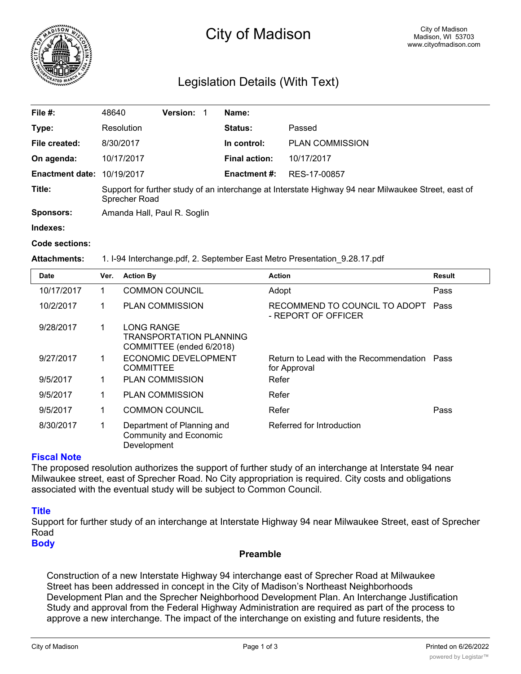

# City of Madison

# Legislation Details (With Text)

| File #:                           | 48640                                                                                                                | <b>Version:</b> |  | Name:                |                        |  |
|-----------------------------------|----------------------------------------------------------------------------------------------------------------------|-----------------|--|----------------------|------------------------|--|
| Type:                             | Resolution                                                                                                           |                 |  | <b>Status:</b>       | Passed                 |  |
| File created:                     | 8/30/2017                                                                                                            |                 |  | In control:          | <b>PLAN COMMISSION</b> |  |
| On agenda:                        | 10/17/2017                                                                                                           |                 |  | <b>Final action:</b> | 10/17/2017             |  |
| <b>Enactment date: 10/19/2017</b> |                                                                                                                      |                 |  | Enactment #:         | RES-17-00857           |  |
| Title:                            | Support for further study of an interchange at Interstate Highway 94 near Milwaukee Street, east of<br>Sprecher Road |                 |  |                      |                        |  |
| Sponsors:                         | Amanda Hall, Paul R. Soglin                                                                                          |                 |  |                      |                        |  |
| Indexes:                          |                                                                                                                      |                 |  |                      |                        |  |

#### **Code sections:**

#### **Attachments:** 1. I-94 Interchange.pdf, 2. September East Metro Presentation\_9.28.17.pdf

| <b>Date</b> | Ver. | <b>Action By</b>                                                    | <b>Action</b>                                          | <b>Result</b> |
|-------------|------|---------------------------------------------------------------------|--------------------------------------------------------|---------------|
| 10/17/2017  |      | <b>COMMON COUNCIL</b>                                               | Adopt                                                  | Pass          |
| 10/2/2017   |      | <b>PLAN COMMISSION</b>                                              | RECOMMEND TO COUNCIL TO ADOPT<br>- REPORT OF OFFICER   | Pass          |
| 9/28/2017   | 1    | LONG RANGE<br>TRANSPORTATION PLANNING<br>COMMITTEE (ended 6/2018)   |                                                        |               |
| 9/27/2017   | 1    | ECONOMIC DEVELOPMENT<br><b>COMMITTEE</b>                            | Return to Lead with the Recommendation<br>for Approval | Pass          |
| 9/5/2017    | 1    | <b>PLAN COMMISSION</b>                                              | Refer                                                  |               |
| 9/5/2017    | 1    | <b>PLAN COMMISSION</b>                                              | Refer                                                  |               |
| 9/5/2017    | 1    | <b>COMMON COUNCIL</b>                                               | Refer                                                  | Pass          |
| 8/30/2017   | 1    | Department of Planning and<br>Community and Economic<br>Development | Referred for Introduction                              |               |

#### **Fiscal Note**

The proposed resolution authorizes the support of further study of an interchange at Interstate 94 near Milwaukee street, east of Sprecher Road. No City appropriation is required. City costs and obligations associated with the eventual study will be subject to Common Council.

## **Title**

Support for further study of an interchange at Interstate Highway 94 near Milwaukee Street, east of Sprecher Road

**Body**

# **Preamble**

Construction of a new Interstate Highway 94 interchange east of Sprecher Road at Milwaukee Street has been addressed in concept in the City of Madison's Northeast Neighborhoods Development Plan and the Sprecher Neighborhood Development Plan. An Interchange Justification Study and approval from the Federal Highway Administration are required as part of the process to approve a new interchange. The impact of the interchange on existing and future residents, the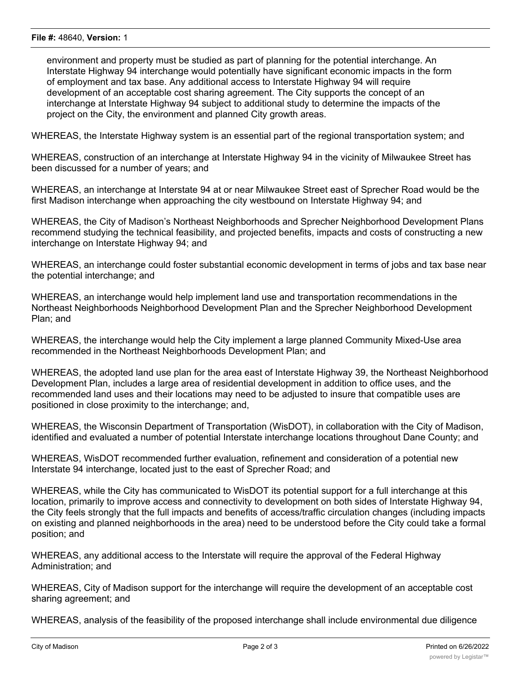environment and property must be studied as part of planning for the potential interchange. An Interstate Highway 94 interchange would potentially have significant economic impacts in the form of employment and tax base. Any additional access to Interstate Highway 94 will require development of an acceptable cost sharing agreement. The City supports the concept of an interchange at Interstate Highway 94 subject to additional study to determine the impacts of the project on the City, the environment and planned City growth areas.

WHEREAS, the Interstate Highway system is an essential part of the regional transportation system; and

WHEREAS, construction of an interchange at Interstate Highway 94 in the vicinity of Milwaukee Street has been discussed for a number of years; and

WHEREAS, an interchange at Interstate 94 at or near Milwaukee Street east of Sprecher Road would be the first Madison interchange when approaching the city westbound on Interstate Highway 94; and

WHEREAS, the City of Madison's Northeast Neighborhoods and Sprecher Neighborhood Development Plans recommend studying the technical feasibility, and projected benefits, impacts and costs of constructing a new interchange on Interstate Highway 94; and

WHEREAS, an interchange could foster substantial economic development in terms of jobs and tax base near the potential interchange; and

WHEREAS, an interchange would help implement land use and transportation recommendations in the Northeast Neighborhoods Neighborhood Development Plan and the Sprecher Neighborhood Development Plan; and

WHEREAS, the interchange would help the City implement a large planned Community Mixed-Use area recommended in the Northeast Neighborhoods Development Plan; and

WHEREAS, the adopted land use plan for the area east of Interstate Highway 39, the Northeast Neighborhood Development Plan, includes a large area of residential development in addition to office uses, and the recommended land uses and their locations may need to be adjusted to insure that compatible uses are positioned in close proximity to the interchange; and,

WHEREAS, the Wisconsin Department of Transportation (WisDOT), in collaboration with the City of Madison, identified and evaluated a number of potential Interstate interchange locations throughout Dane County; and

WHEREAS, WisDOT recommended further evaluation, refinement and consideration of a potential new Interstate 94 interchange, located just to the east of Sprecher Road; and

WHEREAS, while the City has communicated to WisDOT its potential support for a full interchange at this location, primarily to improve access and connectivity to development on both sides of Interstate Highway 94, the City feels strongly that the full impacts and benefits of access/traffic circulation changes (including impacts on existing and planned neighborhoods in the area) need to be understood before the City could take a formal position; and

WHEREAS, any additional access to the Interstate will require the approval of the Federal Highway Administration; and

WHEREAS, City of Madison support for the interchange will require the development of an acceptable cost sharing agreement; and

WHEREAS, analysis of the feasibility of the proposed interchange shall include environmental due diligence